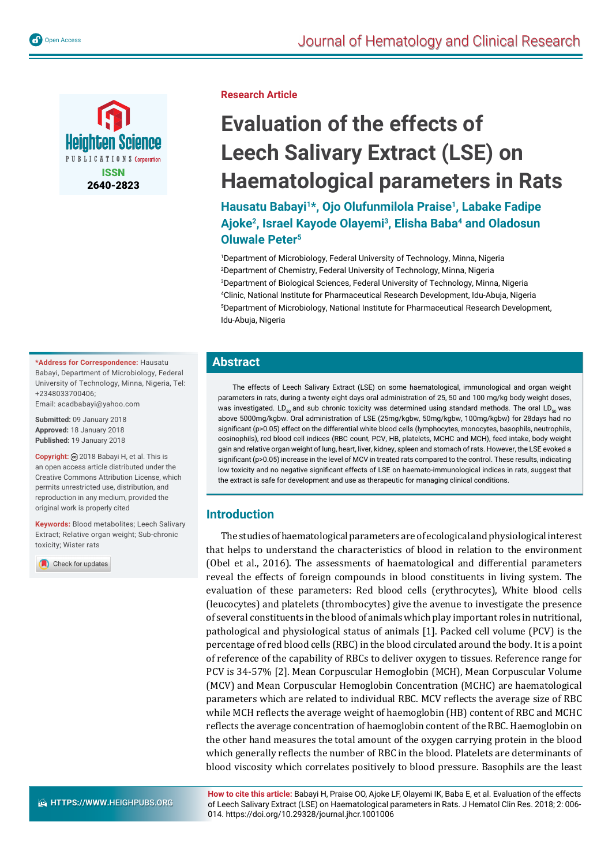



**Research Article**

# **Evaluation of the effects of Leech Salivary Extract (LSE) on Haematological parameters in Rats**

**Hausatu Babayi1\*, Ojo Olufunmilola Praise1, Labake Fadipe Ajoke2, Israel Kayode Olayemi3, Elisha Baba4 and Oladosun Oluwale Peter5**

 Department of Microbiology, Federal University of Technology, Minna, Nigeria Department of Chemistry, Federal University of Technology, Minna, Nigeria Department of Biological Sciences, Federal University of Technology, Minna, Nigeria Clinic, National Institute for Pharmaceutical Research Development, Idu-Abuja, Nigeria Department of Microbiology, National Institute for Pharmaceutical Research Development, Idu-Abuja, Nigeria

# **Abstract**

The effects of Leech Salivary Extract (LSE) on some haematological, immunological and organ weight parameters in rats, during a twenty eight days oral administration of 25, 50 and 100 mg/kg body weight doses, was investigated. LD<sub>50</sub> and sub chronic toxicity was determined using standard methods. The oral LD<sub>50</sub> was above 5000mg/kgbw. Oral administration of LSE (25mg/kgbw, 50mg/kgbw, 100mg/kgbw) for 28days had no significant (p>0.05) effect on the differential white blood cells (lymphocytes, monocytes, basophils, neutrophils, eosinophils), red blood cell indices (RBC count, PCV, HB, platelets, MCHC and MCH), feed intake, body weight gain and relative organ weight of lung, heart, liver, kidney, spleen and stomach of rats. However, the LSE evoked a significant (p>0.05) increase in the level of MCV in treated rats compared to the control. These results, indicating low toxicity and no negative significant effects of LSE on haemato-immunological indices in rats, suggest that the extract is safe for development and use as therapeutic for managing clinical conditions.

# **Introduction**

The studies of haematological parameters are of ecological and physiological interest that helps to understand the characteristics of blood in relation to the environment (Obel et al., 2016). The assessments of haematological and differential parameters reveal the effects of foreign compounds in blood constituents in living system. The evaluation of these parameters: Red blood cells (erythrocytes), White blood cells (leucocytes) and platelets (thrombocytes) give the avenue to investigate the presence of several constituents in the blood of animals which play important roles in nutritional, pathological and physiological status of animals [1]. Packed cell volume (PCV) is the percentage of red blood cells (RBC) in the blood circulated around the body. It is a point of reference of the capability of RBCs to deliver oxygen to tissues. Reference range for PCV is 34-57% [2]. Mean Corpuscular Hemoglobin (MCH), Mean Corpuscular Volume (MCV) and Mean Corpuscular Hemoglobin Concentration (MCHC) are haematological parameters which are related to individual RBC. MCV reflects the average size of RBC while MCH reflects the average weight of haemoglobin (HB) content of RBC and MCHC reflects the average concentration of haemoglobin content of the RBC. Haemoglobin on the other hand measures the total amount of the oxygen carrying protein in the blood which generally reflects the number of RBC in the blood. Platelets are determinants of blood viscosity which correlates positively to blood pressure. Basophils are the least

**How to cite this article:** Babayi H, Praise OO, Ajoke LF, Olayemi IK, Baba E, et al. Evaluation of the effects of Leech Salivary Extract (LSE) on Haematological parameters in Rats. J Hematol Clin Res. 2018; 2: 006- 014. https://doi.org/10.29328/journal.jhcr.1001006

**\*Address for Correspondence:** Hausatu Babayi, Department of Microbiology, Federal University of Technology, Minna, Nigeria, Tel: +2348033700406;

Email: acadbabayi@yahoo.com

**Submitted:** 09 January 2018 **Approved:** 18 January 2018 **Published:** 19 January 2018

**Copyright:** 2018 Babayi H, et al. This is an open access article distributed under the Creative Commons Attribution License, which permits unrestricted use, distribution, and reproduction in any medium, provided the original work is properly cited

**Keywords:** Blood metabolites; Leech Salivary Extract; Relative organ weight; Sub-chronic toxicity; Wister rats

Check for updates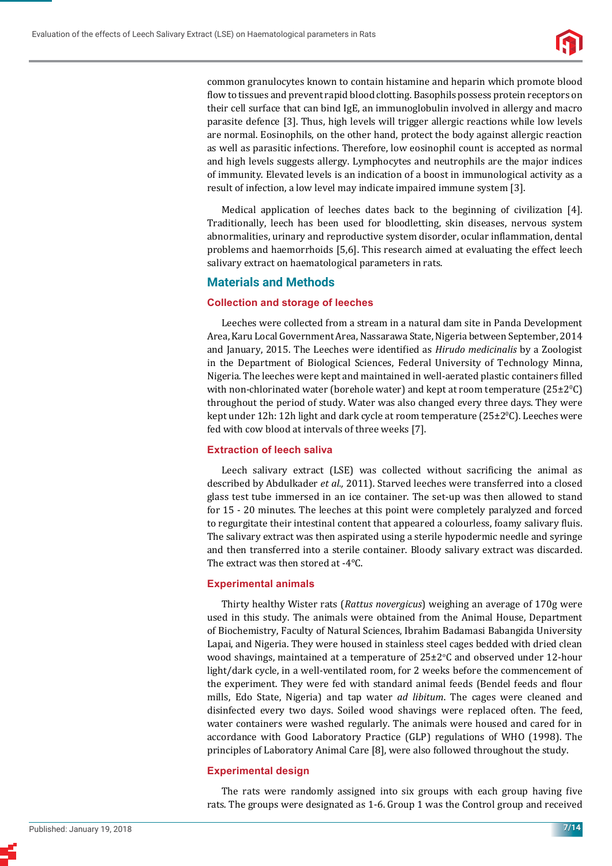

common granulocytes known to contain histamine and heparin which promote blood flow to tissues and prevent rapid blood clotting. Basophils possess protein receptors on their cell surface that can bind IgE, an immunoglobulin involved in allergy and macro parasite defence [3]. Thus, high levels will trigger allergic reactions while low levels are normal. Eosinophils, on the other hand, protect the body against allergic reaction as well as parasitic infections. Therefore, low eosinophil count is accepted as normal and high levels suggests allergy. Lymphocytes and neutrophils are the major indices of immunity. Elevated levels is an indication of a boost in immunological activity as a result of infection, a low level may indicate impaired immune system [3].

Medical application of leeches dates back to the beginning of civilization [4]. Traditionally, leech has been used for bloodletting, skin diseases, nervous system abnormalities, urinary and reproductive system disorder, ocular inflammation, dental problems and haemorrhoids [5,6]. This research aimed at evaluating the effect leech salivary extract on haematological parameters in rats.

# **Materials and Methods**

#### **Collection and storage of leeches**

Leeches were collected from a stream in a natural dam site in Panda Development Area, Karu Local Government Area, Nassarawa State, Nigeria between September, 2014 and January, 2015. The Leeches were identified as *Hirudo medicinalis* by a Zoologist in the Department of Biological Sciences, Federal University of Technology Minna, Nigeria*.* The leeches were kept and maintained in well-aerated plastic containers ϐilled with non-chlorinated water (borehole water) and kept at room temperature  $(25\pm2^oC)$ throughout the period of study. Water was also changed every three days. They were kept under 12h: 12h light and dark cycle at room temperature ( $25\pm2\degree$ C). Leeches were fed with cow blood at intervals of three weeks [7].

#### **Extraction of leech saliva**

Leech salivary extract (LSE) was collected without sacrificing the animal as described by Abdulkader *et al.,* 2011). Starved leeches were transferred into a closed glass test tube immersed in an ice container. The set-up was then allowed to stand for 15 - 20 minutes. The leeches at this point were completely paralyzed and forced to regurgitate their intestinal content that appeared a colourless, foamy salivary fluis. The salivary extract was then aspirated using a sterile hypodermic needle and syringe and then transferred into a sterile container. Bloody salivary extract was discarded. The extract was then stored at -4°C.

# **Experimental animals**

Thirty healthy Wister rats (*Rattus novergicus*) weighing an average of 170g were used in this study. The animals were obtained from the Animal House, Department of Biochemistry, Faculty of Natural Sciences, Ibrahim Badamasi Babangida University Lapai, and Nigeria. They were housed in stainless steel cages bedded with dried clean wood shavings, maintained at a temperature of  $25\pm2\degree C$  and observed under 12-hour light/dark cycle, in a well-ventilated room, for 2 weeks before the commencement of the experiment. They were fed with standard animal feeds (Bendel feeds and flour mills, Edo State, Nigeria) and tap water *ad libitum*. The cages were cleaned and disinfected every two days. Soiled wood shavings were replaced often. The feed, water containers were washed regularly. The animals were housed and cared for in accordance with Good Laboratory Practice (GLP) regulations of WHO (1998). The principles of Laboratory Animal Care [8], were also followed throughout the study.

# **Experimental design**

The rats were randomly assigned into six groups with each group having five rats. The groups were designated as 1-6. Group 1 was the Control group and received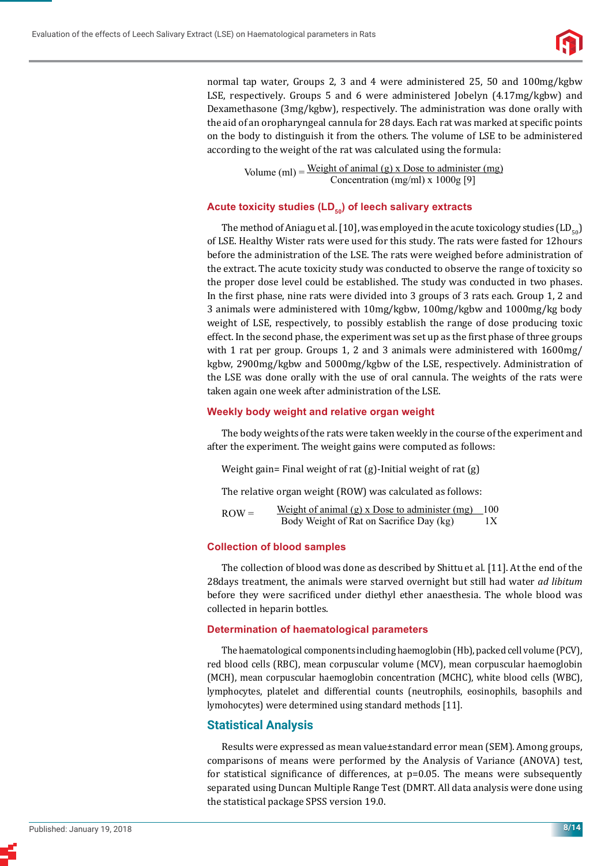

normal tap water, Groups 2, 3 and 4 were administered 25, 50 and 100mg/kgbw LSE, respectively. Groups 5 and 6 were administered Jobelyn (4.17mg/kgbw) and Dexamethasone (3mg/kgbw), respectively. The administration was done orally with the aid of an oropharyngeal cannula for 28 days. Each rat was marked at specific points on the body to distinguish it from the others. The volume of LSE to be administered according to the weight of the rat was calculated using the formula:

> Volume (ml) =  $\frac{\text{Weight of animal (g)} \times \text{Dose to administrator (mg)}}{\text{Weight of animal (g)} \times \text{Dose to administrator (mg)}}$ Concentration (mg/ml) x 1000g [9]

# Acute toxicity studies (LD<sub>50</sub>) of leech salivary extracts

The method of Aniagu et al. [10], was employed in the acute toxicology studies  $(LD_{50})$ of LSE. Healthy Wister rats were used for this study. The rats were fasted for 12hours before the administration of the LSE. The rats were weighed before administration of the extract. The acute toxicity study was conducted to observe the range of toxicity so the proper dose level could be established. The study was conducted in two phases. In the first phase, nine rats were divided into 3 groups of 3 rats each. Group 1, 2 and 3 animals were administered with 10mg/kgbw, 100mg/kgbw and 1000mg/kg body weight of LSE, respectively, to possibly establish the range of dose producing toxic effect. In the second phase, the experiment was set up as the first phase of three groups with 1 rat per group. Groups 1, 2 and 3 animals were administered with 1600mg/ kgbw, 2900mg/kgbw and 5000mg/kgbw of the LSE, respectively. Administration of the LSE was done orally with the use of oral cannula. The weights of the rats were taken again one week after administration of the LSE.

#### **Weekly body weight and relative organ weight**

The body weights of the rats were taken weekly in the course of the experiment and after the experiment. The weight gains were computed as follows:

Weight gain= Final weight of rat (g)-Initial weight of rat (g)

The relative organ weight (ROW) was calculated as follows:

ROW = Weight of animal (g) x Dose to administer (mg)  $100$ <br>Body Weight of Rat on Sacrifice Day (kg)  $1X$ Body Weight of Rat on Sacrifice Day (kg)

#### **Collection of blood samples**

The collection of blood was done as described by Shittuet al. [11]. At the end of the 28days treatment, the animals were starved overnight but still had water *ad libitum*  before they were sacrificed under diethyl ether anaesthesia. The whole blood was collected in heparin bottles.

#### **Determination of haematological parameters**

The haematological components including haemoglobin (Hb), packed cell volume (PCV), red blood cells (RBC), mean corpuscular volume (MCV), mean corpuscular haemoglobin (MCH), mean corpuscular haemoglobin concentration (MCHC), white blood cells (WBC), lymphocytes, platelet and differential counts (neutrophils, eosinophils, basophils and lymohocytes) were determined using standard methods [11].

# **Statistical Analysis**

Results were expressed as mean value±standard error mean (SEM). Among groups, comparisons of means were performed by the Analysis of Variance (ANOVA) test, for statistical significance of differences, at  $p=0.05$ . The means were subsequently separated using Duncan Multiple Range Test (DMRT. All data analysis were done using the statistical package SPSS version 19.0.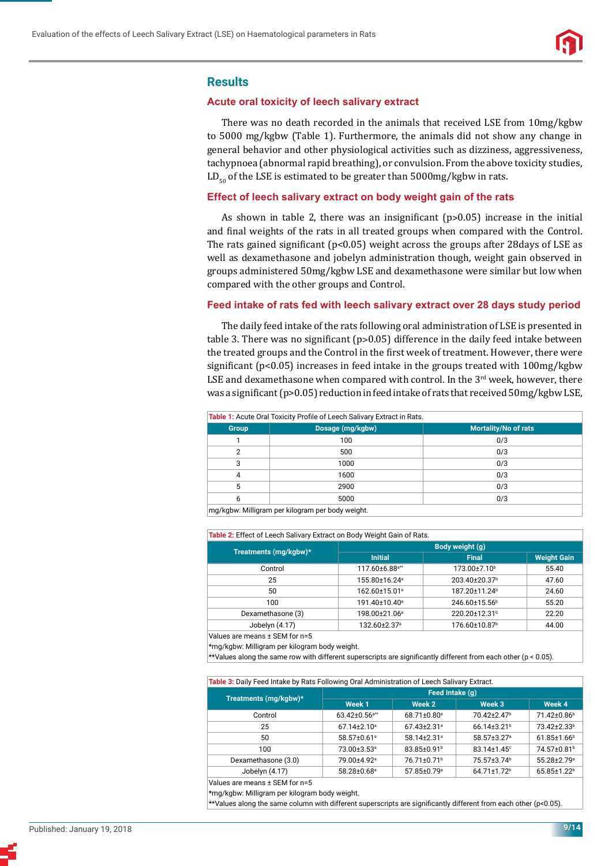

#### **Results**

#### **Acute oral toxicity of leech salivary extract**

There was no death recorded in the animals that received LSE from 10mg/kgbw to 5000 mg/kgbw (Table 1). Furthermore, the animals did not show any change in general behavior and other physiological activities such as dizziness, aggressiveness, tachypnoea (abnormal rapid breathing), or convulsion. From the above toxicity studies,  $LD_{r0}$  of the LSE is estimated to be greater than 5000mg/kgbw in rats.

# **Effect of leech salivary extract on body weight gain of the rats**

As shown in table 2, there was an insignificant  $(p>0.05)$  increase in the initial and final weights of the rats in all treated groups when compared with the Control. The rats gained significant ( $p<0.05$ ) weight across the groups after 28days of LSE as well as dexamethasone and jobelyn administration though, weight gain observed in groups administered 50mg/kgbw LSE and dexamethasone were similar but low when compared with the other groups and Control.

#### **Feed intake of rats fed with leech salivary extract over 28 days study period**

The daily feed intake of the rats following oral administration of LSE is presented in table 3. There was no significant ( $p > 0.05$ ) difference in the daily feed intake between the treated groups and the Control in the first week of treatment. However, there were significant ( $p<0.05$ ) increases in feed intake in the groups treated with  $100mg/kgbw$ LSE and dexamethasone when compared with control. In the  $3<sup>rd</sup>$  week, however, there was a significant (p>0.05) reduction in feed intake of rats that received 50mg/kgbw LSE,

| Table 1: Acute Oral Toxicity Profile of Leech Salivary Extract in Rats. |                  |                             |  |  |  |  |
|-------------------------------------------------------------------------|------------------|-----------------------------|--|--|--|--|
| <b>Group</b>                                                            | Dosage (mg/kgbw) | <b>Mortality/No of rats</b> |  |  |  |  |
|                                                                         | 100              | 0/3                         |  |  |  |  |
| 2                                                                       | 500              | 0/3                         |  |  |  |  |
| 3                                                                       | 1000             | 0/3                         |  |  |  |  |
| 4                                                                       | 1600             | 0/3                         |  |  |  |  |
| 5                                                                       | 2900             | 0/3                         |  |  |  |  |
| 6                                                                       | 5000             | 0/3                         |  |  |  |  |
| ma/kabw: Milliaram per kilogram per body weight                         |                  |                             |  |  |  |  |

mg/kgbw: Milligram per kilogram per body weight.

**Table 2:** Effect of Leech Salivary Extract on Body Weight Gain of Rats.

| Treatments (mg/kgbw)* | Body weight (g)            |                           |                    |  |  |  |  |
|-----------------------|----------------------------|---------------------------|--------------------|--|--|--|--|
|                       | <b>Initial</b>             | <b>Final</b>              | <b>Weight Gain</b> |  |  |  |  |
| Control               | 117.60±6.88 <sup>a**</sup> | 173.00±7.10 <sup>b</sup>  | 55.40              |  |  |  |  |
| 25                    | 155.80±16.24 <sup>a</sup>  | 203.40±20.37 <sup>b</sup> | 47.60              |  |  |  |  |
| 50                    | 162.60±15.01 <sup>a</sup>  | 187.20±11.24 <sup>b</sup> | 24.60              |  |  |  |  |
| 100                   | 191.40±10.40 <sup>a</sup>  | 246.60±15.56 <sup>b</sup> | 55.20              |  |  |  |  |
| Dexamethasone (3)     | 198.00±21.06 <sup>a</sup>  | 220.20±12.31 <sup>b</sup> | 22.20              |  |  |  |  |
| Jobelyn (4.17)        | 132.60±2.37 <sup>a</sup>   | 176.60±10.87 <sup>b</sup> | 44.00              |  |  |  |  |

Values are means ± SEM for n=5

\*mg/kgbw: Milligram per kilogram body weight.

\*\*Values along the same row with different superscripts are significantly different from each other (p < 0.05).

**Table 3:** Daily Feed Intake by Rats Following Oral Administration of Leech Salivary Extract.

|                       | Feed Intake (q)                 |                               |                               |                               |  |  |  |
|-----------------------|---------------------------------|-------------------------------|-------------------------------|-------------------------------|--|--|--|
| Treatments (mg/kgbw)* | Week 1                          | Week 2                        | Week 3                        | Week 4                        |  |  |  |
| Control               | $63.42 \pm 0.56$ <sup>a**</sup> | 68.71±0.80 <sup>a</sup>       | 70.42+2.47 <sup>b</sup>       | 71.42±0.86 <sup>b</sup>       |  |  |  |
| 25                    | $67.14 \pm 2.10^{\circ}$        | $67.43 \pm 2.31$ <sup>a</sup> | $66.14 \pm 3.21$ <sup>b</sup> | 73.42+2.33 <sup>b</sup>       |  |  |  |
| 50                    | 58.57±0.61 <sup>a</sup>         | 58.14+2.31 <sup>a</sup>       | 58.57±3.27 <sup>a</sup>       | $61.85 \pm 1.66$ <sup>b</sup> |  |  |  |
| 100                   | 73.00±3.53 <sup>a</sup>         | 83.85±0.91 <sup>b</sup>       | $83.14 \pm 1.45$ °            | 74.57±0.81 <sup>b</sup>       |  |  |  |
| Dexamethasone (3.0)   | 79.00±4.92ª                     | 76.71±0.71 <sup>b</sup>       | 75.57±3.74 <sup>b</sup>       | 55.28±2.79 <sup>a</sup>       |  |  |  |
| Jobelyn (4.17)        | 58.28±0.68 <sup>a</sup>         | 57.85±0.79 <sup>a</sup>       | 64.71±1.72 <sup>b</sup>       | 65.85±1.22 <sup>b</sup>       |  |  |  |
|                       |                                 |                               |                               |                               |  |  |  |

Values are means ± SEM for n=5

\*mg/kgbw: Milligram per kilogram body weight.

 $*$ Yalues along the same column with different superscripts are significantly different from each other (p<0.05).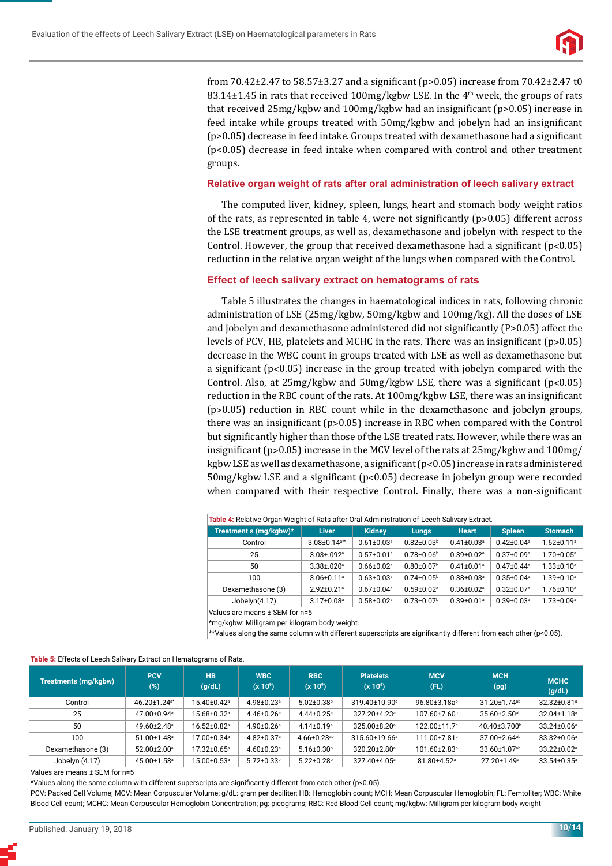

from 70.42 $\pm$ 2.47 to 58.57 $\pm$ 3.27 and a significant (p>0.05) increase from 70.42 $\pm$ 2.47 t0 83.14±1.45 in rats that received 100mg/kgbw LSE. In the 4<sup>th</sup> week, the groups of rats that received  $25mg/kg$  and  $100mg/kg$  by the an insignificant (p>0.05) increase in feed intake while groups treated with 50mg/kgbw and jobelyn had an insignificant  $(p>0.05)$  decrease in feed intake. Groups treated with dexamethasone had a significant (p<0.05) decrease in feed intake when compared with control and other treatment groups.

#### **Relative organ weight of rats after oral administration of leech salivary extract**

The computed liver, kidney, spleen, lungs, heart and stomach body weight ratios of the rats, as represented in table 4, were not significantly ( $p > 0.05$ ) different across the LSE treatment groups, as well as, dexamethasone and jobelyn with respect to the Control. However, the group that received dexamethasone had a significant  $(p<0.05)$ reduction in the relative organ weight of the lungs when compared with the Control.

#### **Effect of leech salivary extract on hematograms of rats**

Table 5 illustrates the changes in haematological indices in rats, following chronic administration of LSE (25mg/kgbw, 50mg/kgbw and 100mg/kg). All the doses of LSE and jobelyn and dexamethasone administered did not significantly  $(P>0.05)$  affect the levels of PCV, HB, platelets and MCHC in the rats. There was an insignificant  $(p>0.05)$ decrease in the WBC count in groups treated with LSE as well as dexamethasone but a significant  $(p<0.05)$  increase in the group treated with jobelyn compared with the Control. Also, at  $25mg/kgbw$  and  $50mg/kgbw$  LSE, there was a significant (p<0.05) reduction in the RBC count of the rats. At 100mg/kgbw LSE, there was an insignificant (p˃0.05) reduction in RBC count while in the dexamethasone and jobelyn groups, there was an insignificant ( $p > 0.05$ ) increase in RBC when compared with the Control but significantly higher than those of the LSE treated rats. However, while there was an insignificant (p>0.05) increase in the MCV level of the rats at  $25mg/kgbw$  and  $100mg/$ kgbw LSE as well as dexamethasone, a significant ( $p<0.05$ ) increase in rats administered 50mg/kgbw LSE and a significant (p<0.05) decrease in jobelyn group were recorded when compared with their respective Control. Finally, there was a non-significant

| Table 4: Relative Organ Weight of Rats after Oral Administration of Leech Salivary Extract. |                                |                              |                              |                              |                              |                              |  |  |
|---------------------------------------------------------------------------------------------|--------------------------------|------------------------------|------------------------------|------------------------------|------------------------------|------------------------------|--|--|
| Treatment s (mg/kgbw)*                                                                      | <b>Liver</b>                   | <b>Kidney</b>                | <b>Lungs</b>                 | <b>Heart</b>                 | <b>Spleen</b>                | <b>Stomach</b>               |  |  |
| Control                                                                                     | $3.08 \pm 0.14$ <sup>a**</sup> | $0.61 \pm 0.03$ <sup>a</sup> | $0.82 \pm 0.03$ <sup>b</sup> | $0.41 \pm 0.03$ <sup>a</sup> | $0.42 \pm 0.04$ <sup>a</sup> | $1.62 \pm 0.11$ <sup>a</sup> |  |  |
| 25                                                                                          | $3.03 \pm 0.092$ <sup>a</sup>  | $0.57 \pm 0.01$ <sup>a</sup> | $0.78 \pm 0.06$ <sup>b</sup> | $0.39 \pm 0.02$ <sup>a</sup> | $0.37 \pm 0.09$ <sup>a</sup> | $1.70 \pm 0.05^{\circ}$      |  |  |
| 50                                                                                          | $3.38 \pm 0.20$ <sup>a</sup>   | $0.66 \pm 0.02$ <sup>a</sup> | $0.80 \pm 0.07$ <sup>b</sup> | $0.41 \pm 0.01$ <sup>a</sup> | $0.47 \pm 0.44$ <sup>a</sup> | $1.33 \pm 0.10^a$            |  |  |
| 100                                                                                         | $3.06 \pm 0.11$ <sup>a</sup>   | $0.63 \pm 0.03$ <sup>a</sup> | $0.74 \pm 0.05^{\circ}$      | $0.38 + 0.03$ <sup>a</sup>   | $0.35 \pm 0.04$ <sup>a</sup> | $1.39 \pm 0.10^a$            |  |  |
| Dexamethasone (3)                                                                           | $2.92 \pm 0.21$ <sup>a</sup>   | $0.67 \pm 0.04$ <sup>a</sup> | $0.59 \pm 0.02$ <sup>a</sup> | $0.36 \pm 0.02$ <sup>a</sup> | $0.32 \pm 0.07$ <sup>a</sup> | $1.76 \pm 0.10$ <sup>a</sup> |  |  |
| Jobelyn(4.17)                                                                               | $3.17 \pm 0.08$ <sup>a</sup>   | $0.58 + 0.02$ <sup>a</sup>   | $0.73 \pm 0.07$ <sup>b</sup> | $0.39 \pm 0.01$ <sup>a</sup> | $0.39 \pm 0.03$ <sup>a</sup> | $1.73 \pm 0.09$ <sup>a</sup> |  |  |

Values are means ± SEM for n=5

\*mg/kgbw: Milligram per kilogram body weight.

\*\*Values along the same column with different superscripts are significantly different from each other (p<0.05).

| Table 5: Effects of Leech Salivary Extract on Hematograms of Rats. |                          |                         |                              |                               |                                          |                          |                                |                          |
|--------------------------------------------------------------------|--------------------------|-------------------------|------------------------------|-------------------------------|------------------------------------------|--------------------------|--------------------------------|--------------------------|
| <b>Treatments (mg/kgbw)</b>                                        | <b>PCV</b><br>(%)        | <b>HB</b><br>(g/dL)     | <b>WBC</b><br>$(x 10^9)$     | <b>RBC</b><br>$(x 10^9)$      | <b>Platelets</b><br>(x 10 <sup>6</sup> ) | <b>MCV</b><br>(FL)       | <b>MCH</b><br>(pg)             | <b>MCHC</b><br>(g/dL)    |
| Control                                                            | 46.20±1.24 <sup>a*</sup> | 15.40±0.42 <sup>a</sup> | 4.98±0.23 <sup>a</sup>       | $5.02 \pm 0.38$ <sup>b</sup>  | 319.40±10.90 <sup>a</sup>                | 96.80±3.18ab             | 31.20±1.74 <sup>ab</sup>       | 32.32±0.81ª              |
| 25                                                                 | 47.00±0.94 <sup>a</sup>  | 15.68±0.32 <sup>a</sup> | $4.46 \pm 0.26^{\circ}$      | $4.44 \pm 0.25$ <sup>a</sup>  | 327.20±4.23ª                             | 107.60±7.60 <sup>b</sup> | $35.60 \pm 2.50$ <sup>ab</sup> | 32.04±1.18 <sup>a</sup>  |
| 50                                                                 | 49.60±2.48 <sup>a</sup>  | 16.52±0.82 <sup>a</sup> | 4.90±0.26 <sup>a</sup>       | $4.14 \pm 0.19$ <sup>a</sup>  | 325.00±8.20 <sup>a</sup>                 | 122.00±11.7°             | 40.40±3.700 <sup>b</sup>       | 33.24±0.06 <sup>a</sup>  |
| 100                                                                | 51.00±1.48 <sup>a</sup>  | 17.00±0.34ª             | $4.82 \pm 0.37$ <sup>a</sup> | $4.66 \pm 0.23$ <sup>ab</sup> | 315.60±19.66 <sup>a</sup>                | 111.00±7.81 <sup>b</sup> | 37.00±2.64 <sup>ab</sup>       | 33.32±0.06 <sup>a</sup>  |
| Dexamethasone (3)                                                  | 52.00±2.00 <sup>a</sup>  | 17.32±0.65ª             | $4.60 \pm 0.23$ <sup>a</sup> | $5.16 \pm 0.30^{\circ}$       | 320.20±2.80 <sup>a</sup>                 | 101.60±2.83 <sup>b</sup> | 33.60±1.07 <sup>ab</sup>       | 33.22±0.02 <sup>a</sup>  |
| Jobelyn (4.17)                                                     | 45.00±1.58 <sup>a</sup>  | 15.00±0.53 <sup>a</sup> | $5.72 \pm 0.33^b$            | $5.22 \pm 0.28$ <sup>b</sup>  | 327.40±4.05 <sup>a</sup>                 | 81.80±4.52 <sup>a</sup>  | 27.20±1.49 <sup>a</sup>        | $33.54 \pm 0.35^{\circ}$ |

Values are means ± SEM for n=5

\*Values along the same column with different superscripts are significantly different from each other (p<0.05).

PCV: Packed Cell Volume; MCV: Mean Corpuscular Volume; g/dL: gram per deciliter; HB: Hemoglobin count; MCH: Mean Corpuscular Hemoglobin; FL: Femtoliter; WBC: White Blood Cell count; MCHC: Mean Corpuscular Hemoglobin Concentration; pg: picograms; RBC: Red Blood Cell count; mg/kgbw: Milligram per kilogram body weight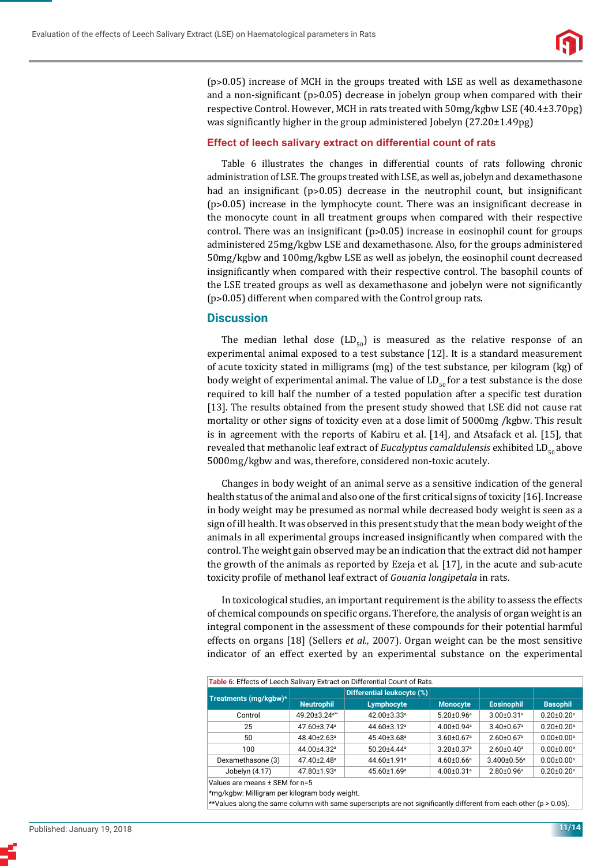

 $(p>0.05)$  increase of MCH in the groups treated with LSE as well as dexamethasone and a non-significant ( $p > 0.05$ ) decrease in jobelyn group when compared with their respective Control. However, MCH in rats treated with 50mg/kgbw LSE (40.4±3.70pg) was significantly higher in the group administered Jobelyn  $(27.20 \pm 1.49 \text{pg})$ 

#### **Effect of leech salivary extract on differential count of rats**

Table 6 illustrates the changes in differential counts of rats following chronic administration of LSE. The groups treated with LSE, as well as, jobelyn and dexamethasone had an insignificant  $(p>0.05)$  decrease in the neutrophil count, but insignificant  $(p>0.05)$  increase in the lymphocyte count. There was an insignificant decrease in the monocyte count in all treatment groups when compared with their respective control. There was an insignificant  $(p>0.05)$  increase in eosinophil count for groups administered 25mg/kgbw LSE and dexamethasone. Also, for the groups administered 50mg/kgbw and 100mg/kgbw LSE as well as jobelyn, the eosinophil count decreased insignificantly when compared with their respective control. The basophil counts of the LSE treated groups as well as dexamethasone and jobelyn were not significantly (p˃0.05) different when compared with the Control group rats.

# **Discussion**

The median lethal dose  $(LD_{50})$  is measured as the relative response of an experimental animal exposed to a test substance [12]. It is a standard measurement of acute toxicity stated in milligrams (mg) of the test substance, per kilogram (kg) of body weight of experimental animal. The value of  $LD_{50}$  for a test substance is the dose required to kill half the number of a tested population after a specific test duration [13]. The results obtained from the present study showed that LSE did not cause rat mortality or other signs of toxicity even at a dose limit of 5000mg /kgbw. This result is in agreement with the reports of Kabiru et al. [14], and Atsafack et al. [15], that revealed that methanolic leaf extract of *Eucalyptus camaldulensis* exhibited LD<sub>co</sub> above 5000mg/kgbw and was, therefore, considered non-toxic acutely.

Changes in body weight of an animal serve as a sensitive indication of the general health status of the animal and also one of the first critical signs of toxicity [16]. Increase in body weight may be presumed as normal while decreased body weight is seen as a sign of ill health. It was observed in this present study that the mean body weight of the animals in all experimental groups increased insignificantly when compared with the control. The weight gain observed may be an indication that the extract did not hamper the growth of the animals as reported by Ezeja et al. [17], in the acute and sub-acute toxicity profile of methanol leaf extract of *Gouania longipetala* in rats.

In toxicological studies, an important requirement is the ability to assess the effects of chemical compounds on specific organs. Therefore, the analysis of organ weight is an integral component in the assessment of these compounds for their potential harmful effects on organs [18] (Sellers *et al.,* 2007). Organ weight can be the most sensitive indicator of an effect exerted by an experimental substance on the experimental

| Table 6: Effects of Leech Salivary Extract on Differential Count of Rats. |                               |                               |                              |                               |                              |  |  |  |
|---------------------------------------------------------------------------|-------------------------------|-------------------------------|------------------------------|-------------------------------|------------------------------|--|--|--|
|                                                                           |                               | Differential leukocyte (%)    |                              |                               |                              |  |  |  |
| Treatments (mg/kgbw)*                                                     | <b>Neutrophil</b>             | Lymphocyte                    | <b>Monocyte</b>              | <b>Eosinophil</b>             | <b>Basophil</b>              |  |  |  |
| Control                                                                   | 49.20±3.24 <sup>a**</sup>     | 42.00±3.33 <sup>a</sup>       | $5.20 \pm 0.96^{\circ}$      | $3.00 \pm 0.31$ <sup>a</sup>  | $0.20 \pm 0.20$ <sup>a</sup> |  |  |  |
| 25                                                                        | 47.60±3.74 <sup>a</sup>       | $44.60 \pm 3.12$ <sup>a</sup> | $4.00 \pm 0.94$ <sup>a</sup> | $3.40\pm0.67$ <sup>a</sup>    | $0.20 \pm 0.20$ <sup>a</sup> |  |  |  |
| 50                                                                        | $48.40 \pm 2.63$ <sup>a</sup> | 45.40±3.68 <sup>a</sup>       | $3.60 \pm 0.67$ <sup>a</sup> | $2.60 \pm 0.67$ <sup>a</sup>  | $0.00 \pm 0.00$ <sup>a</sup> |  |  |  |
| 100                                                                       | 44.00±4.32 <sup>a</sup>       | $50.20 + 4.44$ <sup>a</sup>   | $3.20 \pm 0.37$ <sup>a</sup> | $2.60 \pm 0.40^{\circ}$       | $0.00 \pm 0.00$ <sup>a</sup> |  |  |  |
| Dexamethasone (3)                                                         | 47.40±2.48 <sup>a</sup>       | 44.60±1.91 <sup>a</sup>       | $4.60 \pm 0.66$ <sup>a</sup> | $3.400 \pm 0.56$ <sup>a</sup> | $0.00 \pm 0.00$ <sup>a</sup> |  |  |  |
| Jobelyn (4.17)                                                            | 47.80±1.93 <sup>a</sup>       | 45.60±1.69 <sup>a</sup>       | $4.00 \pm 0.31$ <sup>a</sup> | $2.80 \pm 0.96$ <sup>a</sup>  | $0.20 \pm 0.20$ <sup>a</sup> |  |  |  |
| .                                                                         |                               |                               |                              |                               |                              |  |  |  |

Values are means ± SEM for n=5

\*mg/kgbw: Milligram per kilogram body weight.

 $\star$ Values along the same column with same superscripts are not significantly different from each other (p > 0.05).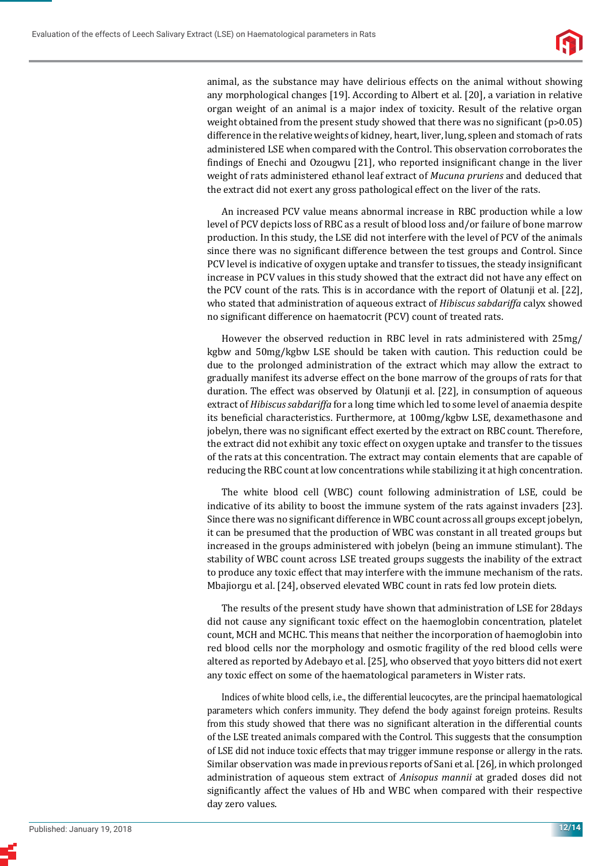

animal, as the substance may have delirious effects on the animal without showing any morphological changes [19]. According to Albert et al. [20], a variation in relative organ weight of an animal is a major index of toxicity. Result of the relative organ weight obtained from the present study showed that there was no significant ( $p > 0.05$ ) difference in the relative weights of kidney, heart, liver, lung, spleen and stomach of rats administered LSE when compared with the Control. This observation corroborates the findings of Enechi and Ozougwu [21], who reported insignificant change in the liver weight of rats administered ethanol leaf extract of *Mucuna pruriens* and deduced that the extract did not exert any gross pathological effect on the liver of the rats.

An increased PCV value means abnormal increase in RBC production while a low level of PCV depicts loss of RBC as a result of blood loss and/or failure of bone marrow production. In this study, the LSE did not interfere with the level of PCV of the animals since there was no significant difference between the test groups and Control. Since PCV level is indicative of oxygen uptake and transfer to tissues, the steady insignificant increase in PCV values in this study showed that the extract did not have any effect on the PCV count of the rats. This is in accordance with the report of Olatunji et al. [22], who stated that administration of aqueous extract of *Hibiscus sabdariffa* calyx showed no significant difference on haematocrit (PCV) count of treated rats.

However the observed reduction in RBC level in rats administered with 25mg/ kgbw and 50mg/kgbw LSE should be taken with caution. This reduction could be due to the prolonged administration of the extract which may allow the extract to gradually manifest its adverse effect on the bone marrow of the groups of rats for that duration. The effect was observed by Olatunji et al. [22], in consumption of aqueous extract of *Hibiscus sabdariffa* for a long time which led to some level of anaemia despite its beneficial characteristics. Furthermore, at 100mg/kgbw LSE, dexamethasone and jobelyn, there was no significant effect exerted by the extract on RBC count. Therefore, the extract did not exhibit any toxic effect on oxygen uptake and transfer to the tissues of the rats at this concentration. The extract may contain elements that are capable of reducing the RBC count at low concentrations while stabilizing it at high concentration.

The white blood cell (WBC) count following administration of LSE, could be indicative of its ability to boost the immune system of the rats against invaders [23]. Since there was no significant difference in WBC count across all groups except jobelyn, it can be presumed that the production of WBC was constant in all treated groups but increased in the groups administered with jobelyn (being an immune stimulant). The stability of WBC count across LSE treated groups suggests the inability of the extract to produce any toxic effect that may interfere with the immune mechanism of the rats. Mbajiorgu et al. [24], observed elevated WBC count in rats fed low protein diets.

The results of the present study have shown that administration of LSE for 28days did not cause any significant toxic effect on the haemoglobin concentration, platelet count, MCH and MCHC. This means that neither the incorporation of haemoglobin into red blood cells nor the morphology and osmotic fragility of the red blood cells were altered as reported by Adebayo et al. [25]*,* who observed that yoyo bitters did not exert any toxic effect on some of the haematological parameters in Wister rats.

Indices of white blood cells, i.e., the differential leucocytes, are the principal haematological parameters which confers immunity. They defend the body against foreign proteins. Results from this study showed that there was no significant alteration in the differential counts of the LSE treated animals compared with the Control. This suggests that the consumption of LSE did not induce toxic effects that may trigger immune response or allergy in the rats. Similar observation was made in previous reports of Sani et al*.* [26]*,* in which prolonged administration of aqueous stem extract of *Anisopus mannii* at graded doses did not significantly affect the values of Hb and WBC when compared with their respective day zero values.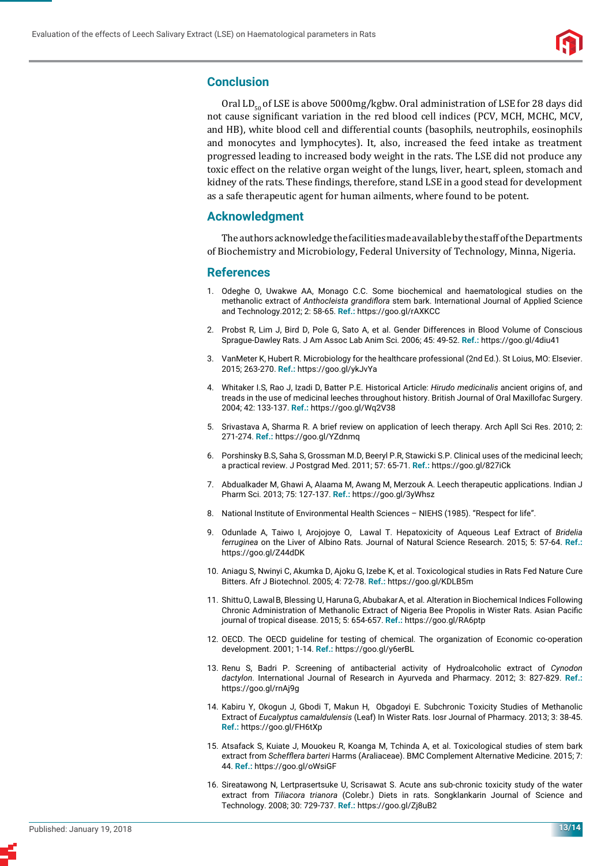

## **Conclusion**

Oral  $LD_{\epsilon_0}$  of LSE is above 5000mg/kgbw. Oral administration of LSE for 28 days did not cause significant variation in the red blood cell indices (PCV, MCH, MCHC, MCV, and HB), white blood cell and differential counts (basophils, neutrophils, eosinophils and monocytes and lymphocytes). It, also, increased the feed intake as treatment progressed leading to increased body weight in the rats. The LSE did not produce any toxic effect on the relative organ weight of the lungs, liver, heart, spleen, stomach and kidney of the rats. These findings, therefore, stand LSE in a good stead for development as a safe therapeutic agent for human ailments, where found to be potent.

## **Acknowledgment**

The authors acknowledge the facilities made available by the staff of the Departments of Biochemistry and Microbiology, Federal University of Technology, Minna, Nigeria.

#### **References**

- 1. Odeghe O, Uwakwe AA, Monago C.C. Some biochemical and haematological studies on the methanolic extract of *Anthocleista grandifl ora* stem bark. International Journal of Applied Science and Technology.2012; 2: 58-65. **Ref.:** https://goo.gl/rAXKCC
- 2. Probst R, Lim J, Bird D, Pole G, Sato A, et al. Gender Differences in Blood Volume of Conscious Sprague-Dawley Rats. J Am Assoc Lab Anim Sci. 2006; 45: 49-52. **Ref.:** https://goo.gl/4diu41
- 3. VanMeter K, Hubert R. Microbiology for the healthcare professional (2nd Ed.). St Loius, MO: Elsevier. 2015; 263-270. **Ref.:** https://goo.gl/ykJvYa
- 4. Whitaker I.S, Rao J, Izadi D, Batter P.E. Historical Article: *Hirudo medicinalis* ancient origins of, and treads in the use of medicinal leeches throughout history. British Journal of Oral Maxillofac Surgery. 2004; 42: 133-137. **Ref.:** https://goo.gl/Wq2V38
- 5. Srivastava A, Sharma R. A brief review on application of leech therapy. Arch Apll Sci Res. 2010; 2: 271-274. **Ref.:** https://goo.gl/YZdnmq
- 6. Porshinsky B.S, Saha S, Grossman M.D, Beeryl P.R, Stawicki S.P. Clinical uses of the medicinal leech; a practical review. J Postgrad Med. 2011; 57: 65-71. **Ref.:** https://goo.gl/827iCk
- 7. Abdualkader M, Ghawi A, Alaama M, Awang M, Merzouk A. Leech therapeutic applications. Indian J Pharm Sci. 2013; 75: 127-137. **Ref.:** https://goo.gl/3yWhsz
- 8. National Institute of Environmental Health Sciences NIEHS (1985). "Respect for life".
- 9. Odunlade A, Taiwo I, Arojojoye O, Lawal T. Hepatoxicity of Aqueous Leaf Extract of *Bridelia ferruginea* on the Liver of Albino Rats. Journal of Natural Science Research. 2015; 5: 57-64. **Ref.:** https://goo.gl/Z44dDK
- 10. Aniagu S, Nwinyi C, Akumka D, Ajoku G, Izebe K, et al. Toxicological studies in Rats Fed Nature Cure Bitters. Afr J Biotechnol. 2005; 4: 72-78. **Ref.:** https://goo.gl/KDLB5m
- 11. ShittuO, LawalB, Blessing U, HarunaG, AbubakarA, et al. Alteration in Biochemical Indices Following Chronic Administration of Methanolic Extract of Nigeria Bee Propolis in Wister Rats. Asian Pacific journal of tropical disease. 2015; 5: 654-657. **Ref.:** https://goo.gl/RA6ptp
- 12. OECD. The OECD guideline for testing of chemical. The organization of Economic co-operation development. 2001; 1-14. **Ref.:** https://goo.gl/y6erBL
- 13. Renu S, Badri P. Screening of antibacterial activity of Hydroalcoholic extract of *Cynodon dactylon*. International Journal of Research in Ayurveda and Pharmacy. 2012; 3: 827-829. **Ref.:** https://goo.gl/rnAj9g
- 14. Kabiru Y, Okogun J, Gbodi T, Makun H, Obgadoyi E. Subchronic Toxicity Studies of Methanolic Extract of *Eucalyptus camaldulensis* (Leaf) In Wister Rats. Iosr Journal of Pharmacy. 2013; 3: 38-45. **Ref.:** https://goo.gl/FH6tXp
- 15. Atsafack S, Kuiate J, Mouokeu R, Koanga M, Tchinda A, et al. Toxicological studies of stem bark extract from *Schefflera barteri* Harms (Araliaceae). BMC Complement Alternative Medicine. 2015; 7: 44. **Ref.:** https://goo.gl/oWsiGF
- 16. Sireatawong N, Lertprasertsuke U, Scrisawat S. Acute ans sub-chronic toxicity study of the water extract from *Tiliacora trianora* (Colebr.) Diets in rats. Songklankarin Journal of Science and Technology. 2008; 30: 729-737. **Ref.:** https://goo.gl/Zj8uB2